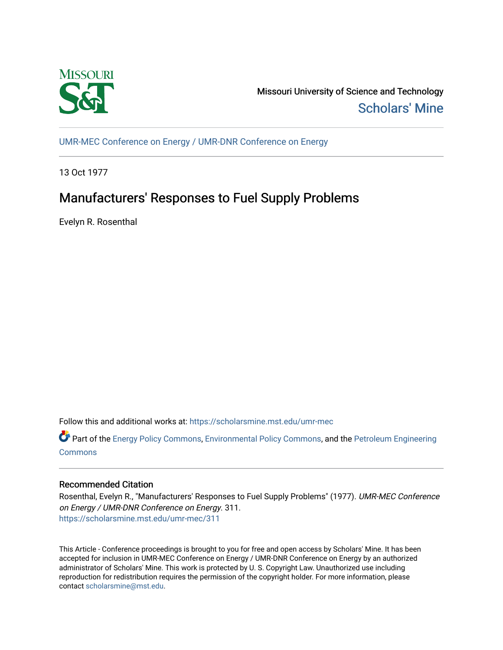

Missouri University of Science and Technology [Scholars' Mine](https://scholarsmine.mst.edu/) 

[UMR-MEC Conference on Energy / UMR-DNR Conference on Energy](https://scholarsmine.mst.edu/umr-mec)

13 Oct 1977

# Manufacturers' Responses to Fuel Supply Problems

Evelyn R. Rosenthal

Follow this and additional works at: [https://scholarsmine.mst.edu/umr-mec](https://scholarsmine.mst.edu/umr-mec?utm_source=scholarsmine.mst.edu%2Fumr-mec%2F311&utm_medium=PDF&utm_campaign=PDFCoverPages) 

Part of the [Energy Policy Commons](http://network.bepress.com/hgg/discipline/1065?utm_source=scholarsmine.mst.edu%2Fumr-mec%2F311&utm_medium=PDF&utm_campaign=PDFCoverPages), [Environmental Policy Commons](http://network.bepress.com/hgg/discipline/1027?utm_source=scholarsmine.mst.edu%2Fumr-mec%2F311&utm_medium=PDF&utm_campaign=PDFCoverPages), and the [Petroleum Engineering](http://network.bepress.com/hgg/discipline/245?utm_source=scholarsmine.mst.edu%2Fumr-mec%2F311&utm_medium=PDF&utm_campaign=PDFCoverPages)  **[Commons](http://network.bepress.com/hgg/discipline/245?utm_source=scholarsmine.mst.edu%2Fumr-mec%2F311&utm_medium=PDF&utm_campaign=PDFCoverPages)** 

# Recommended Citation

Rosenthal, Evelyn R., "Manufacturers' Responses to Fuel Supply Problems" (1977). UMR-MEC Conference on Energy / UMR-DNR Conference on Energy. 311. [https://scholarsmine.mst.edu/umr-mec/311](https://scholarsmine.mst.edu/umr-mec/311?utm_source=scholarsmine.mst.edu%2Fumr-mec%2F311&utm_medium=PDF&utm_campaign=PDFCoverPages) 

This Article - Conference proceedings is brought to you for free and open access by Scholars' Mine. It has been accepted for inclusion in UMR-MEC Conference on Energy / UMR-DNR Conference on Energy by an authorized administrator of Scholars' Mine. This work is protected by U. S. Copyright Law. Unauthorized use including reproduction for redistribution requires the permission of the copyright holder. For more information, please contact [scholarsmine@mst.edu](mailto:scholarsmine@mst.edu).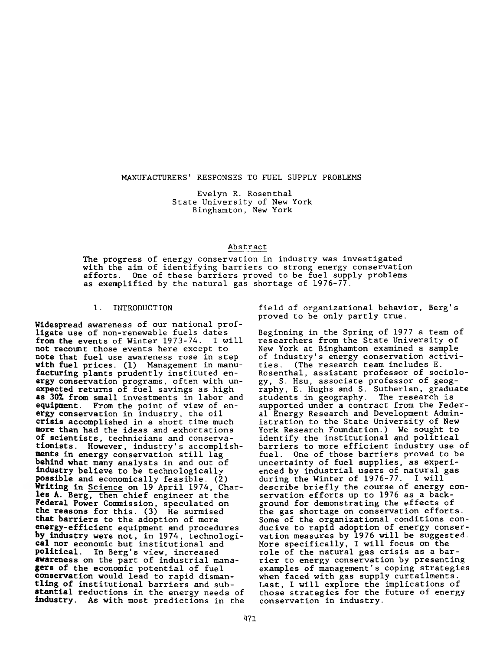#### MANUFACTURERS' RESPONSES TO FUEL SUPPLY PROBLEMS

Evelyn R. Rosenthal State University of New York Binghamton, New York

## Abstract

The progress of energy conservation in industry was investigated with the aim of identifying barriers to strong energy conservation efforts. One of these barriers proved to be fuel supply problems as exemplified by the natural gas shortage of 1976-77.

#### 1. INTRODUCTION

Widespread awareness of our national profligate use of non-renewable fuels dates **from** the events of Winter 1973-74. I will not recount those events here except to note that fuel use awareness rose in step **with** fuel prices. (1) Management in manu**facturing** plants prudently instituted en**ergy** conservation programs, often with unexpected returns of fuel savings as high **as 307»** from small investments in labor and **equipment.** From the point of view of en**ergy** conservation in industry, the oil **crisis** accomplished in a short time much **more than** had the ideas and exhortations **of** scientists, technicians and conservationists. However, industry's accomplish**ments** in energy conservation still lag **behind** what many analysts in and out of **industry** believe to be technologically **possible** and economically feasible. (2) **Writing** in Science on 19 April 1974, Charles A. Berg, then chief engineer at the Federal Power Commission, speculated on **the** reasons for this. (3) He surmised that barriers to the adoption of more energy-efficient equipment and procedures **by** industry were not, in 1974, technologi**cal** nor economic but institutional and political. In Berg's view, increased awareness on the part of industrial mana**gers** of the economic potential of fuel conservation would lead to rapid disman**tling** of institutional barriers and sub**stantial** reductions in the energy needs of **industry.** As with most predictions in the

field of organizational behavior, Berg's proved to be only partly true.

Beginning in the Spring of 1977 a team of researchers from the State University of New York at Binghamton examined a sample of industry's energy conservation activities. (The research team includes E. Rosenthal, assistant professor of sociology, S. Hsu, associate professor of geography, E. Hughs and S. Sutherlan, graduate students in geography. The research is supported under a contract from the Federal Energy Research and Development Administration to the State University of New York Research Foundation.) We sought to identify the institutional and political barriers to more efficient industry use of fuel. One of those barriers proved to be uncertainty of fuel supplies, as experienced by industrial users of natural gas during the Winter of  $1976 - 77$ . describe briefly the course of energy conservation efforts up to 1976 as a background for demonstrating the effects of the gas shortage on conservation efforts. Some of the organizational conditions conducive to rapid adoption of energy conservation measures by 1976 will be suggested. More specifically, I will focus on the role of the natural gas crisis as a barrier to energy conservation by presenting examples of management's coping strategies when faced with gas supply curtailments. Last, I will explore the implications of those strategies for the future of energy conservation in industry.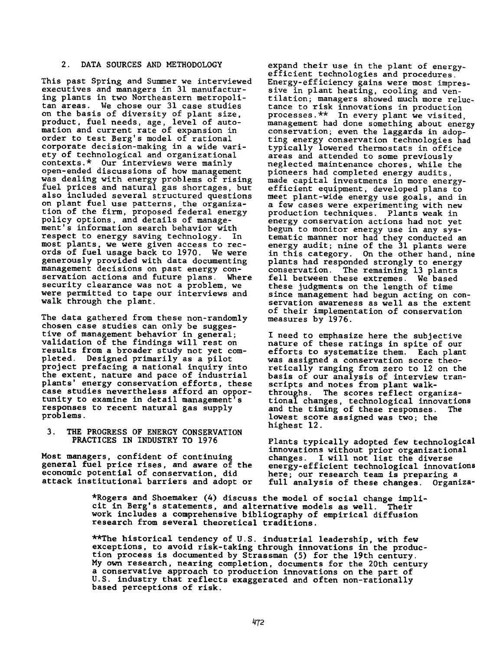# 2. DATA SOURCES AND METHODOLOGY

This past Spring and Summer we interviewed executives and managers in 31 manufacturing plants in two Northeastern metropolitan areas. We chose our 31 case studies on the basis of diversity of plant size, product, fuel needs, age, level of automation and current rate of expansion in order to test Berg's model of rational corporate decision-making in a wide variety of technological and organizational contexts.\* Our interviews were mainly open-ended discussions of how management was dealing with energy problems of rising fuel prices and natural gas shortages, but also included several structured questions on plant fuel use patterns, the organization of the firm, proposed federal energy policy options, and details of management's information search behavior with respect to energy saving technology. In most plants, we were given access to records of fuel usage back to 1970. We were generously provided with data documenting management decisions on past energy conservation actions and future plans. Where security clearance was not a problem, we were permitted to tape our interviews and walk through the plant.

The data gathered from these non-randomly chosen case studies can only be suggestive of management behavior in general; validation of the findings will rest on results from a broader study not yet completed. Designed primarily as a pilot project prefacing a national inquiry into the extent, nature and pace of industrial plants' energy conservation efforts, these case studies nevertheless afford an opportunity to examine in detail management's responses to recent natural gas supply problems.

3. THE PROGRESS OF ENERGY CONSERVATION PRACTICES IN INDUSTRY TO 1976

Most managers, confident of continuing general fuel price rises, and aware of the economic potential of conservation, did attack institutional barriers and adopt or

expand their use in the plant of energyefficient technologies and procedures. Energy-efficiency gains were most impressive in plant heating, cooling and ventilation; managers showed much more reluctance to risk innovations in production processes.\*\* In every plant we visited, management had done something about energy conservation; even the laggards in adopting energy conservation technologies had typically lowered thermostats in office areas and attended to some previously neglected maintenance chores, while the pioneers had completed energy audits, made capital investments in more energyefficient equipment, developed plans to meet plant-wide energy use goals, and in a few cases were experimenting with new production techniques. Plants weak in energy conservation actions had not yet begun to monitor energy use in any systematic manner nor had they conducted an energy audit; nine of the 31 plants were in this category. On the other hand, nine plants had responded strongly to energy conservation. The remaining 13 plants fell between these extremes. We based these judgments on the length of time since management had begun acting on conservation awareness as well as the extent of their implementation of conservation measures by 1976.

I need to emphasize here the subjective nature of these ratings in spite of our efforts to systematize them. Each plant was assigned a conservation score theoretically ranging from zero to 12 on the basis of our analysis of interview transcripts and notes from plant walkthroughs. The scores reflect organizational changes, technological innovations and the timing of these responses. The lowest score assigned was two; the highest 12.

Plants typically adopted few technological innovations without prior organizational changes. I will not list the diverse energy-efficient technological innovations here; our research team is preparing a full analysis of these changes. Organiza-

\*Rogers and Shoemaker (4) discuss the model of social change implicit in Berg's statements, and alternative models as well. Their work includes a comprehensive bibliography of empirical diffusion research from several theoretical traditions.

\*\*The historical tendency of U.S. industrial leadership, with few exceptions, to avoid risk-taking through innovations in the production process is documented by Strassman (5) for the 19th century. My own research, nearing completion, documents for the 20th century a conservative approach to production innovations on the part of U.S. industry that reflects exaggerated and often non-rationally based perceptions of risk.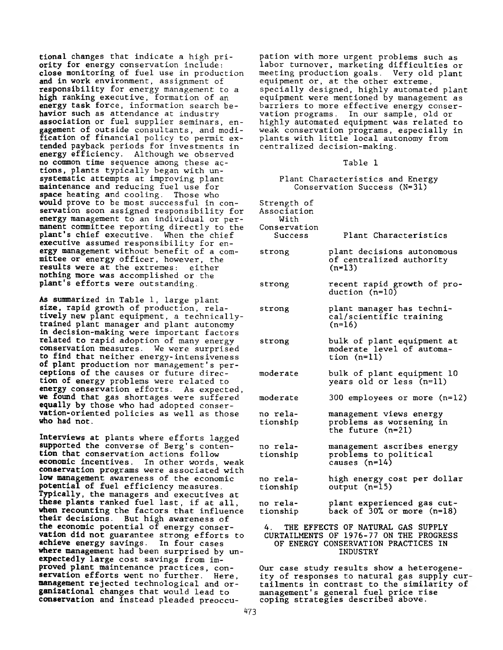tional changes that indicate a high priority for energy conservation include: close monitoring of fuel use in production and in work environment, assignment of responsibility for energy management to a high ranking executive, formation of an energy task force, information search behavior such as attendance at industry association or fuel supplier seminars, engagement of outside consultants, and modification of financial policy to permit extended payback periods for investments in energy efficiency. Although we observed no common time sequence among these actions, plants typically began with unsystematic attempts at improving plant maintenance and reducing fuel use for space heating and cooling. Those who would prove to be most successful in conservation soon assigned responsibility for energy management to an individual or permanent committee reporting directly to the plant's chief executive. When the chief executive assumed responsibility for energy management without benefit of a committee or energy officer, however, the results were at the extremes: either nothing more was accomplished or the plant's efforts were outstanding.

As summarized in Table 1, large plant size, rapid growth of production, relatively new plant equipment, a technicallytrained plant manager and plant autonomy in decision-making were important factors related to rapid adoption of many energy conservation measures. We were surprised to find that neither energy-intensiveness of plant production nor management' s perceptions of the causes or future direction of energy problems were related to energy conservation efforts. As expected, we found that gas shortages were suffered equally by those who had adopted conservation-oriented policies as well as those who had not.

Interviews at plants where efforts lagged supported the converse of Berg's contention that conservation actions follow economic incentives. In other words, weak conservation programs were associated with low management awareness of the economic potential of fuel efficiency measures. Typically, the managers and executives at these plants ranked fuel last, if at all, when recounting the factors that influence their decisions. But high awareness of the economic potential of energy conservation did not guarantee strong efforts to achieve energy savings. In four cases where management had been surprised by unexpectedly large cost savings from improved plant maintenance practices, conservation efforts went no further. Here, management rejected technological and organizational changes that would lead to conservation and instead pleaded preoccu-

pation with more urgent problems such as labor turnover, marketing difficulties or meeting production goals. Very old plant equipment or, at the other extreme, specially designed, highly automated plant equipment were mentioned by management as barriers to more effective energy conservation programs. In our sample, old or highly automated equipment was related to weak conservation programs, especially in plants with little local autonomy from centralized decision-making.

Table 1

Plant Characteristics and Energy Conservation Success (N=31)

Strength of Association

With Conservation

- Success Plant Characteristics
- strong plant decisions autonomous of centralized authority  $(n=13)$
- strong recent rapid growth of production (n=10)
- strong plant manager has technical/scientific training  $(n=16)$
- strong bulk of plant equipment at moderate level of automation (n=ll)
- moderate bulk of plant equipment 10 years old or less (n=ll)
- moderate 300 employees or more (n=12)
- no relationship management views energy problems as worsening in the future (n=21)
- no relationship management ascribes energy problems to political causes (n=14)
- no relationship high energy cost per dollar output (n=15)
- no relationship plant experienced gas cutback of 30% or more (n=18)

## 4. THE EFFECTS OF NATURAL GAS SUPPLY CURTAILMENTS OF 1976-77 ON THE PROGRESS OF ENERGY CONSERVATION PRACTICES IN INDUSTRY

Our case study results show a heterogeneity of responses to natural gas supply cur tailments in contrast to the similarity of management's general fuel price rise coping strategies described above.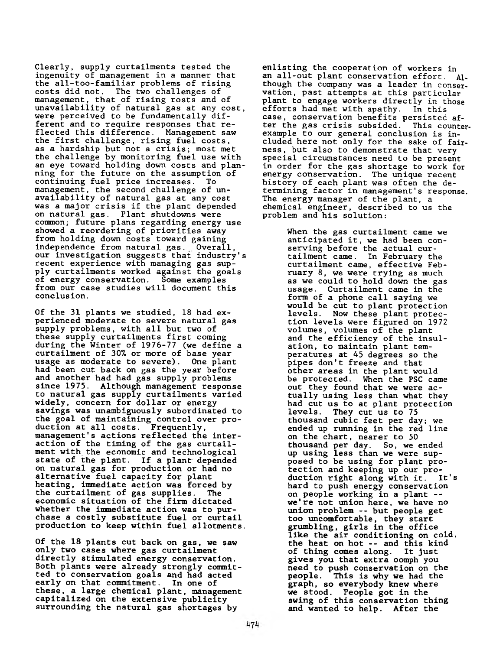Clearly, supply curtailments tested the ingenuity of management in a manner that the all-too-familiar problems of rising costs did not. The two challenges of management, that of rising rosts and of unavailability of natural gas at any cost, were perceived to be fundamentally different and to require responses that reflected this difference. Management saw the first challenge, rising fuel costs, as a hardship but not a crisis; most met the challenge by monitoring fuel use with an eye toward holding down costs and planning for the future on the assumption of continuing fuel price increases. To management, the second challenge of unavailability of natural gas at any cost was a major crisis if the plant depended on natural gas. Plant shutdowns were common; future plans regarding energy use showed a reordering of priorities away from holding down costs toward gaining independence from natural gas. Overall, our investigation suggests that industry's recent experience with managing gas supply curtailments worked against the goals of energy conservation. Some examples from our case studies will document this conclusion.

Of the 31 plants we studied, 18 had experienced moderate to severe natural gas supply problems, with all but two of these supply curtailments first coming during the Winter of 1976-77 (we define a curtailment of 30% or more of base year usage as moderate to severe). One plant had been cut back on gas the year before and another had had gas supply problems since 1975. Although management response to natural gas supply curtailments varied widely, concern for dollar or energy savings was unambiguously subordinated to the goal of maintaining control over production at all costs. Frequently, management's actions reflected the interaction of the timing of the gas curtailment with the economic and technological state of the plant. If a plant depended on natural gas for production or had no alternative fuel capacity for plant heating, immediate action was forced by the curtailment of gas supplies. The economic situation of the firm dictated whether the immediate action was to purchase a costly substitute fuel or curtail production to keep within fuel allotments.

Of the 18 plants cut back on gas, we saw only two cases where gas curtailment directly stimulated energy conservation. Both plants were already strongly committed to conservation goals and had acted early on that commitment. In one of these, a large chemical plant, management capitalized on the extensive publicity surrounding the natural gas shortages by

enlisting the cooperation of workers in an all-out plant conservation effort. Although the company was a leader in conservation, past attempts at this particular plant to engage workers directly in those efforts had met with apathy. In this case, conservation benefits persisted after the gas crisis subsided. This counterexample to our general conclusion is included here not only for the sake of fairness, but also to demonstrate that very special circumstances need to be present in order for the gas shortage to work for energy conservation. The unique recent history of each plant was often the determining factor in management's response. The energy manager of the plant, a chemical engineer, described to us the problem and his solution:

> When the gas curtailment came we anticipated it, we had been conserving before the actual curtailment came. In February the curtailment came, effective February 8, we were trying as much as we could to hold down the gas usage. Curtailment came in the form of a phone call saying we would be cut to plant protection levels. Now these plant protection levels were figured on 1972 volumes, volumes of the plant and the efficiency of the insulation, to maintain plant temperatures at 45 degrees so the pipes don't freeze and that other areas in the plant would<br>be protected. When the PSC can When the PSC came out they found that we were actually using less than what they had cut us to at plant protection levels. They cut us to 75 thousand cubic feet per day; we ended up running in the red line on the chart, nearer to 50 thousand per day. So, we ended up using less than we were supposed to be using for plant protection and keeping up our pro-<br>duction right along with it. It's duction right along with it. hard to push energy conservation on people working in a plant - we're not union here, we have no union problem -- but people get too uncomfortable, they start grumbling, girls in the office like the air conditioning on cold, the heat on hot -- and this kind of thing comes along. It just gives you that extra oomph you need to push conservation on the people. This is why we had the graph, so everybody knew where we stood. People got in the swing of this conservation thing and wanted to help. After the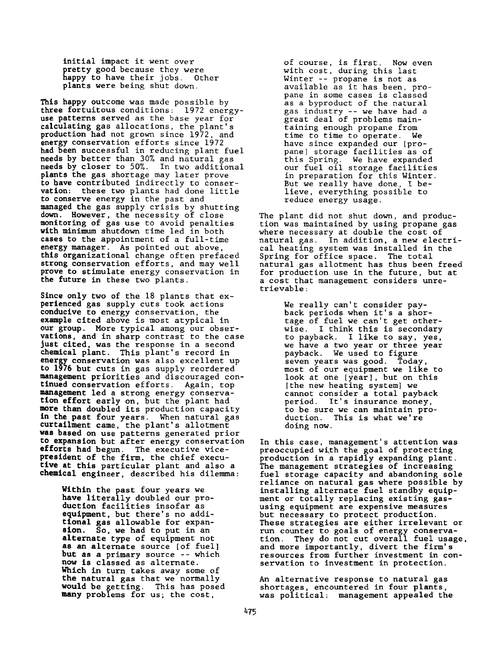initial impact it went over pretty good because they were happy to have their jobs. Other plants were being shut down.

This happy outcome was made possible by three fortuitous conditions: 1972 energyuse patterns served as the base year for calculating gas allocations, the plant's production had not grown since 1972, and energy conservation efforts since 1972 had been successful in reducing plant fuel needs by better than 30% and natural gas needs by closer to 50%. In two additional plants the gas shortage may later prove to have contributed indirectly to conservation: these two plants had done little to conserve energy in the past and managed the gas supply crisis by shutting down. However, the necessity of close monitoring of gas use to avoid penalties with minimum shutdown time led in both cases to the appointment of a full-time energy manager. As pointed out above, this organizational change often prefaced strong conservation efforts, and may well prove to stimulate energy conservation in the future in these two plants.

Since only two of the 18 plants that experienced gas supply cuts took actions conducive to energy conservation, the example cited above is most atypical in our group. More typical among our observations, and in sharp contrast to the case just cited, was the response in a second chemical plant. This plant's record in energy conservation was also excellent up to 1976 but cuts in gas supply reordered management priorities and discouraged continued conservation efforts. Again, top management led a strong energy conservation effort early on, but the plant had more than doubled its production capacity in the past four years. When natural gas curtailment came, the plant's allotment was based on use patterns generated prior to expansion but after energy conservation efforts had begun. The executive vicepresident of the firm, the chief executive at this particular plant and also a chemical engineer, described his dilemma:

> Within the past four years we have literally doubled our production facilities insofar as equipment, but there's no additional gas allowable for expansion. So, we had to put in an alternate type of equipment not as an alternate source [of fuel] but as a primary source -- which now is classed as alternate. Which in turn takes away some of the natural gas that we normally would be getting. This has posed many problems for us; the cost,

of course, is first. Now even with cost, during this last Winter -- propane is not as available as it has been, propane in some cases is classed as a byproduct of the natural gas industry -- we have had a great deal of problems maintaining enough propane from time to time to operate. We have since expanded our [propane] storage facilities as of this Spring. We have expanded our fuel oil storage facilities in preparation for this Winter. But we really have done, I believe, everything possible to reduce energy usage.

The plant did not shut down, and production was maintained by using propane gas where necessary at double the cost of natural gas. In addition, a new electrical heating system was installed in the Spring for office space. The total natural gas allotment has thus been freed for production use in the future, but at a cost that management considers unretrievable:

> We really can't consider payback periods when it's a shortage of fuel we can't get otherwise. I think this is secondary to payback. I like to say, yes, we have a two year or three year payback. We used to figure seven years was good. Today, most of our equipment we like to look at one [year] , but on this [the new heating system] we cannot consider a total payback period. It's insurance money, to be sure we can maintain production. This is what we're doing now.

In this case, management's attention was preoccupied with the goal of protecting production in a rapidly expanding plant. The management strategies of increasing fuel storage capacity and abandoning sole reliance on natural gas where possible by installing alternate fuel standby equipment or totally replacing existing gasusing equipment are expensive measures but necessary to protect production. These strategies are either irrelevant or run counter to goals of energy conservation. They do not cut overall fuel usage, and more importantly, divert the firm's resources from further investment in conservation to investment in protection.

An alternative response to natural gas shortages, encountered in four plants, was political: management appealed the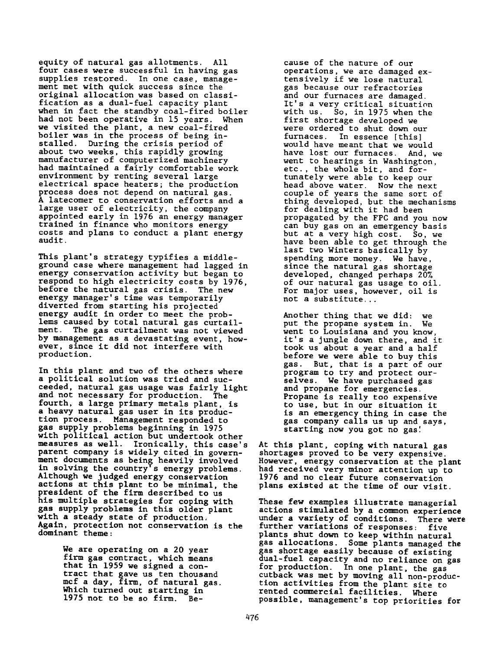equity of natural gas allotments. All four cases were successful in having gas supplies restored. In one case, management met with quick success since the original allocation was based on classification as a dual-fuel capacity plant when in fact the standby coal-fired boiler had not been operative in 15 years. When we visited the plant, a new coal-fired boiler was in the process of being installed. During the crisis period of about two weeks, this rapidly growing manufacturer of computerized machinery had maintained a fairly comfortable work environment by renting several large electrical space heaters; the production process does not depend on natural gas. A latecomer to conservation efforts and a large user of electricity, the company appointed early in 1976 an energy manager trained in finance who monitors energy costs and plans to conduct a plant energy audit.

This plant's strategy typifies a middleground case where management had lagged in energy conservation activity but began to respond to high electricity costs by 1976, before the natural gas crisis. The new energy manager's time was temporarily diverted from starting his projected energy audit in order to meet the problems caused by total natural gas curtailment. The gas curtailment was not viewed by management as a devastating event, however, since it did not interfere with production.

In this plant and two of the others where a political solution was tried and succeeded, natural gas usage was fairly light and not necessary for production. The fourth, a large primary metals plant, is a heavy natural gas user in its production process. Management responded to gas supply problems beginning in 1975 with political action but undertook other measures as well. Ironically, this case's parent company is widely cited in government documents as being heavily involved in solving the country's energy problems. Although we judged energy conservation actions at this plant to be minimal, the president of the firm described to us his multiple strategies for coping with gas supply problems in this older plant with a steady state of production. Again, protection not conservation is the dominant theme:

> We are operating on a 20 year firm gas contract, which means that in 1959 we signed a contract that gave us ten thousand mcf a day, firm, of natural gas. Which turned out starting in 1975 not to be so firm. Be

cause of the nature of our operations, we are damaged extensively if we lose natural gas because our refractories and our furnaces are damaged. It's a very critical situation with us. So, in 1975 when the first shortage developed we were ordered to shut down our furnaces. In essence [this] would have meant that we would have lost our furnaces. And, we went to hearings in Washington, etc., the whole bit, and fortunately were able to keep our head above water. Now the next couple of years the same sort of thing developed, but the mechanisms for dealing with it had been propagated by the FPC and you now can buy gas on an emergency basis but at a very high cost. So, we have been able to get through the last two Winters basically by spending more money. We have, since the natural gas shortage developed, changed perhaps 20% of our natural gas usage to oil. For major uses, however, oil is not a substitute.. .

Another thing that we did: we put the propane system in. We went to Louisiana and you know, it's a jungle down there, and it took us about a year and a half before we were able to buy this gas. But, that is a part of our program to try and protect ourselves. We have purchased gas and propane for emergencies. Propane is really too expensive to use, but in our situation it is an emergency thing in case the gas company calls us up and says, starting now you got no gas!

At this plant, coping with natural gas shortages proved to be very expensive. However, energy conservation at the plant had received very minor attention up to 1976 and no clear future conservation plans existed at the time of our visit.

These few examples illustrate managerial actions stimulated by a common experience under a variety of conditions. There were further variations of responses: five plants shut down to keep within natural gas allocations. Some plants managed the gas shortage easily because of existing dual-fuel capacity and no reliance on gas for production. In one plant, the gas cutback was met by moving all non-production activities from the plant site to rented commercial facilities. Where possible, management's top priorities for